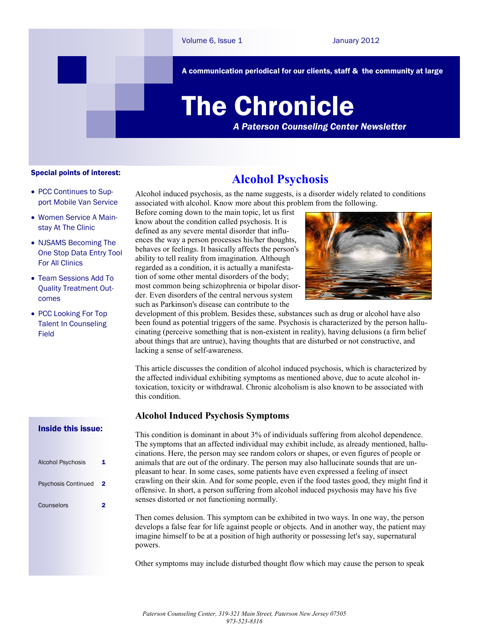A communication periodical for our clients, staff & the community at large

# The Chronicle

*A Paterson Counseling Center Newsletter*

#### Special points of interest:

- PCC Continues to Support Mobile Van Service
- Women Service A Mainstay At The Clinic
- NJSAMS Becoming The One Stop Data Entry Tool For All Clinics
- Team Sessions Add To Quality Treatment Outcomes
- PCC Looking For Top Talent In Counseling Field

# **Alcohol Psychosis**

Alcohol induced psychosis, as the name suggests, is a disorder widely related to conditions associated with alcohol. Know more about this problem from the following.

Before coming down to the main topic, let us first know about the condition called psychosis. It is defined as any severe mental disorder that influences the way a person processes his/her thoughts, behaves or feelings. It basically affects the person's ability to tell reality from imagination. Although regarded as a condition, it is actually a manifestation of some other mental disorders of the body; most common being schizophrenia or bipolar disorder. Even disorders of the central nervous system such as Parkinson's disease can contribute to the



development of this problem. Besides these, substances such as drug or alcohol have also been found as potential triggers of the same. Psychosis is characterized by the person hallucinating (perceive something that is non-existent in reality), having delusions (a firm belief about things that are untrue), having thoughts that are disturbed or not constructive, and lacking a sense of self-awareness.

This article discusses the condition of alcohol induced psychosis, which is characterized by the affected individual exhibiting symptoms as mentioned above, due to acute alcohol intoxication, toxicity or withdrawal. Chronic alcoholism is also known to be associated with this condition.

## **Alcohol Induced Psychosis Symptoms**

This condition is dominant in about 3% of individuals suffering from alcohol dependence. The symptoms that an affected individual may exhibit include, as already mentioned, hallucinations. Here, the person may see random colors or shapes, or even figures of people or animals that are out of the ordinary. The person may also hallucinate sounds that are unpleasant to hear. In some cases, some patients have even expressed a feeling of insect crawling on their skin. And for some people, even if the food tastes good, they might find it offensive. In short, a person suffering from alcohol induced psychosis may have his five senses distorted or not functioning normally.

Then comes delusion. This symptom can be exhibited in two ways. In one way, the person develops a false fear for life against people or objects. And in another way, the patient may imagine himself to be at a position of high authority or possessing let's say, supernatural powers.

Other symptoms may include disturbed thought flow which may cause the person to speak

# Inside this issue:

| <b>Alcohol Psychosis</b>   | 1  |
|----------------------------|----|
| <b>Psychosis Continued</b> | -2 |
| Counselors                 |    |
|                            |    |